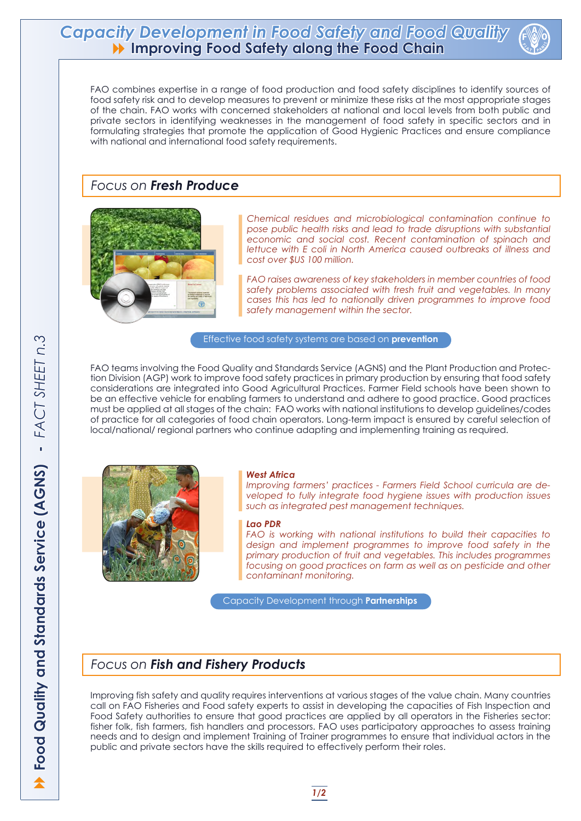FAO combines expertise in a range of food production and food safety disciplines to identify sources of food safety risk and to develop measures to prevent or minimize these risks at the most appropriate stages of the chain. FAO works with concerned stakeholders at national and local levels from both public and private sectors in identifying weaknesses in the management of food safety in specific sectors and in formulating strategies that promote the application of Good Hygienic Practices and ensure compliance with national and international food safety requirements.

FAO teams involving the Food Quality and Standards Service (AGNS) and the Plant Production and Protection Division (AGP) work to improve food safety practices in primary production by ensuring that food safety considerations are integrated into Good Agricultural Practices. Farmer Field schools have been shown to be an effective vehicle for enabling farmers to understand and adhere to good practice. Good practices must be applied at all stages of the chain: FAO works with national institutions to develop guidelines/codes of practice for all categories of food chain operators. Long-term impact is ensured by careful selection of local/national/ regional partners who continue adapting and implementing training as required.





Improving fish safety and quality requires interventions at various stages of the value chain. Many countries call on FAO Fisheries and Food safety experts to assist in developing the capacities of Fish Inspection and Food Safety authorities to ensure that good practices are applied by all operators in the Fisheries sector: fisher folk, fish farmers, fish handlers and processors. FAO uses participatory approaches to assess training needs and to design and implement Training of Trainer programmes to ensure that individual actors in the public and private sectors have the skills required to effectively perform their roles.

# *Focus on Fresh Produce*



# *Focus on Fish and Fishery Products*

*Chemical residues and microbiological contamination continue to pose public health risks and lead to trade disruptions with substantial economic and social cost. Recent contamination of spinach and lettuce with E coli in North America caused outbreaks of illness and cost over \$US 100 million.*

*FAO raises awareness of key stakeholders in member countries of food safety problems associated with fresh fruit and vegetables. In many cases this has led to nationally driven programmes to improve food safety management within the sector.* 

Effective food safety systems are based on **prevention**

## *West Africa*

*Improving farmers' practices - Farmers Field School curricula are developed to fully integrate food hygiene issues with production issues such as integrated pest management techniques.* 

## *Lao PDR*

*FAO is working with national institutions to build their capacities to design and implement programmes to improve food safety in the primary production of fruit and vegetables. This includes programmes focusing on good practices on farm as well as on pesticide and other contaminant monitoring.* 

Capacity Development through **Partnerships**